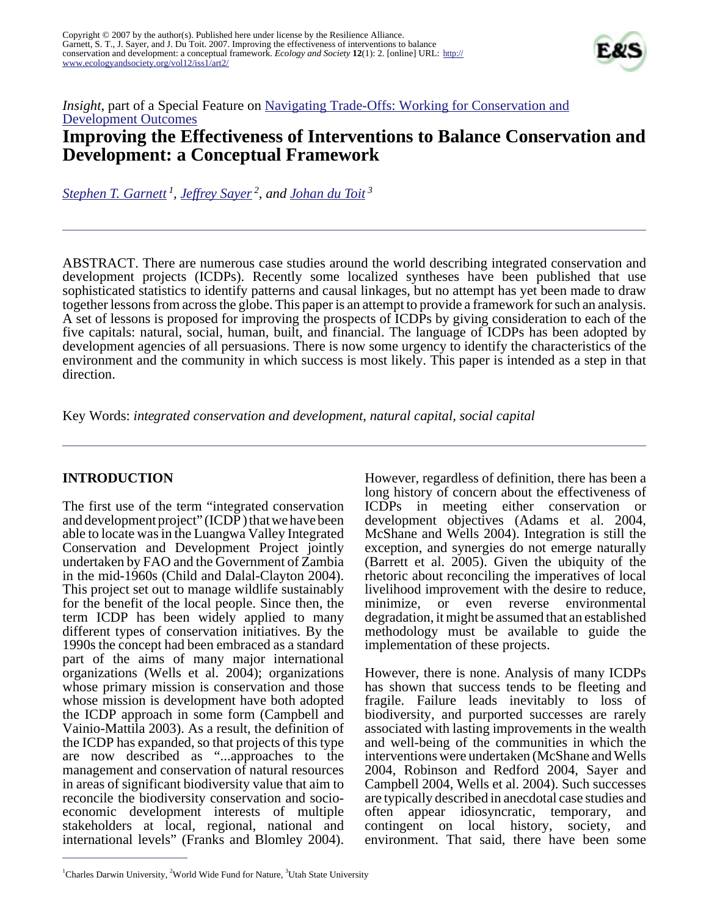

## *Insight*, part of a Special Feature on [Navigating Trade-Offs: Working for Conservation and](http://www.ecologyandsociety.org/viewissue.php?sf=26) [Development Outcomes](http://www.ecologyandsociety.org/viewissue.php?sf=26) **Improving the Effectiveness of Interventions to Balance Conservation and Development: a Conceptual Framework**

*[Stephen T. Garnett](mailto:stephen.garnett@cdu.edu.au)<sup>1</sup> , [Jeffrey Sayer](mailto:JSayer@wwfint.org)<sup>2</sup>, and [Johan du Toit](mailto:johan.dutoit@usu.edu)<sup>3</sup>*

ABSTRACT. There are numerous case studies around the world describing integrated conservation and development projects (ICDPs). Recently some localized syntheses have been published that use sophisticated statistics to identify patterns and causal linkages, but no attempt has yet been made to draw together lessons from across the globe. This paper is an attempt to provide a framework for such an analysis. A set of lessons is proposed for improving the prospects of ICDPs by giving consideration to each of the five capitals: natural, social, human, built, and financial. The language of ICDPs has been adopted by development agencies of all persuasions. There is now some urgency to identify the characteristics of the environment and the community in which success is most likely. This paper is intended as a step in that direction.

Key Words: *integrated conservation and development, natural capital, social capital*

### **INTRODUCTION**

The first use of the term "integrated conservation and development project" (ICDP ) that we have been able to locate was in the Luangwa Valley Integrated Conservation and Development Project jointly undertaken by FAO and the Government of Zambia in the mid-1960s (Child and Dalal-Clayton 2004). This project set out to manage wildlife sustainably for the benefit of the local people. Since then, the term ICDP has been widely applied to many different types of conservation initiatives. By the 1990s the concept had been embraced as a standard part of the aims of many major international organizations (Wells et al. 2004); organizations whose primary mission is conservation and those whose mission is development have both adopted the ICDP approach in some form (Campbell and Vainio-Mattila 2003). As a result, the definition of the ICDP has expanded, so that projects of this type are now described as "...approaches to the management and conservation of natural resources in areas of significant biodiversity value that aim to reconcile the biodiversity conservation and socioeconomic development interests of multiple stakeholders at local, regional, national and international levels" (Franks and Blomley 2004).

However, regardless of definition, there has been a long history of concern about the effectiveness of ICDPs in meeting either conservation or development objectives (Adams et al. 2004, McShane and Wells 2004). Integration is still the exception, and synergies do not emerge naturally (Barrett et al. 2005). Given the ubiquity of the rhetoric about reconciling the imperatives of local livelihood improvement with the desire to reduce, minimize, or even reverse environmental degradation, it might be assumed that an established methodology must be available to guide the implementation of these projects.

However, there is none. Analysis of many ICDPs has shown that success tends to be fleeting and fragile. Failure leads inevitably to loss of biodiversity, and purported successes are rarely associated with lasting improvements in the wealth and well-being of the communities in which the interventions were undertaken (McShane and Wells 2004, Robinson and Redford 2004, Sayer and Campbell 2004, Wells et al. 2004). Such successes are typically described in anecdotal case studies and often appear idiosyncratic, temporary, and contingent on local history, society, and environment. That said, there have been some

 $1$ Charles Darwin University,  $2$ World Wide Fund for Nature,  $3$ Utah State University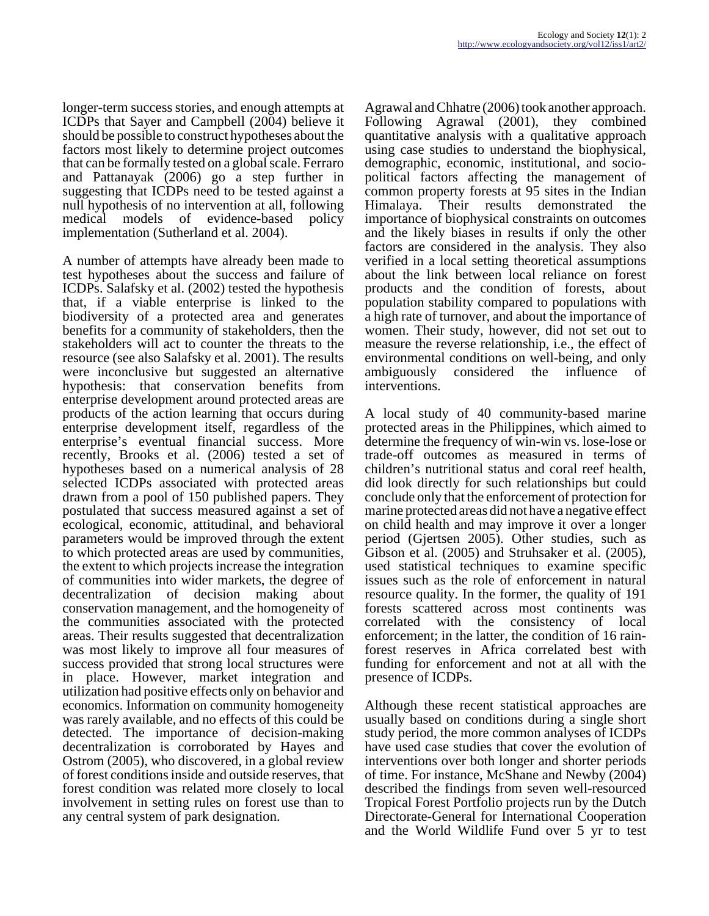longer-term success stories, and enough attempts at ICDPs that Sayer and Campbell (2004) believe it should be possible to construct hypotheses about the factors most likely to determine project outcomes that can be formally tested on a global scale. Ferraro and Pattanayak (2006) go a step further in suggesting that ICDPs need to be tested against a null hypothesis of no intervention at all, following medical models of evidence-based policy implementation (Sutherland et al. 2004).

A number of attempts have already been made to test hypotheses about the success and failure of ICDPs. Salafsky et al. (2002) tested the hypothesis that, if a viable enterprise is linked to the biodiversity of a protected area and generates benefits for a community of stakeholders, then the stakeholders will act to counter the threats to the resource (see also Salafsky et al. 2001). The results were inconclusive but suggested an alternative hypothesis: that conservation benefits from enterprise development around protected areas are products of the action learning that occurs during enterprise development itself, regardless of the enterprise's eventual financial success. More recently, Brooks et al. (2006) tested a set of hypotheses based on a numerical analysis of 28 selected ICDPs associated with protected areas drawn from a pool of 150 published papers. They postulated that success measured against a set of ecological, economic, attitudinal, and behavioral parameters would be improved through the extent to which protected areas are used by communities, the extent to which projects increase the integration of communities into wider markets, the degree of decentralization of decision making about conservation management, and the homogeneity of the communities associated with the protected areas. Their results suggested that decentralization was most likely to improve all four measures of success provided that strong local structures were in place. However, market integration and utilization had positive effects only on behavior and economics. Information on community homogeneity was rarely available, and no effects of this could be detected. The importance of decision-making decentralization is corroborated by Hayes and Ostrom (2005), who discovered, in a global review of forest conditions inside and outside reserves, that forest condition was related more closely to local involvement in setting rules on forest use than to any central system of park designation.

Agrawal and Chhatre (2006) took another approach. Following Agrawal (2001), they combined quantitative analysis with a qualitative approach using case studies to understand the biophysical, demographic, economic, institutional, and sociopolitical factors affecting the management of common property forests at 95 sites in the Indian Himalaya. Their results demonstrated the importance of biophysical constraints on outcomes and the likely biases in results if only the other factors are considered in the analysis. They also verified in a local setting theoretical assumptions about the link between local reliance on forest products and the condition of forests, about population stability compared to populations with a high rate of turnover, and about the importance of women. Their study, however, did not set out to measure the reverse relationship, i.e., the effect of environmental conditions on well-being, and only<br>ambiguously considered the influence of ambiguously considered the influence of interventions.

A local study of 40 community-based marine protected areas in the Philippines, which aimed to determine the frequency of win-win vs. lose-lose or trade-off outcomes as measured in terms of children's nutritional status and coral reef health, did look directly for such relationships but could conclude only that the enforcement of protection for marine protected areas did not have a negative effect on child health and may improve it over a longer period (Gjertsen 2005). Other studies, such as Gibson et al. (2005) and Struhsaker et al. (2005), used statistical techniques to examine specific issues such as the role of enforcement in natural resource quality. In the former, the quality of 191 forests scattered across most continents was correlated with the consistency of local enforcement; in the latter, the condition of 16 rainforest reserves in Africa correlated best with funding for enforcement and not at all with the presence of ICDPs.

Although these recent statistical approaches are usually based on conditions during a single short study period, the more common analyses of ICDPs have used case studies that cover the evolution of interventions over both longer and shorter periods of time. For instance, McShane and Newby (2004) described the findings from seven well-resourced Tropical Forest Portfolio projects run by the Dutch Directorate-General for International Cooperation and the World Wildlife Fund over 5 yr to test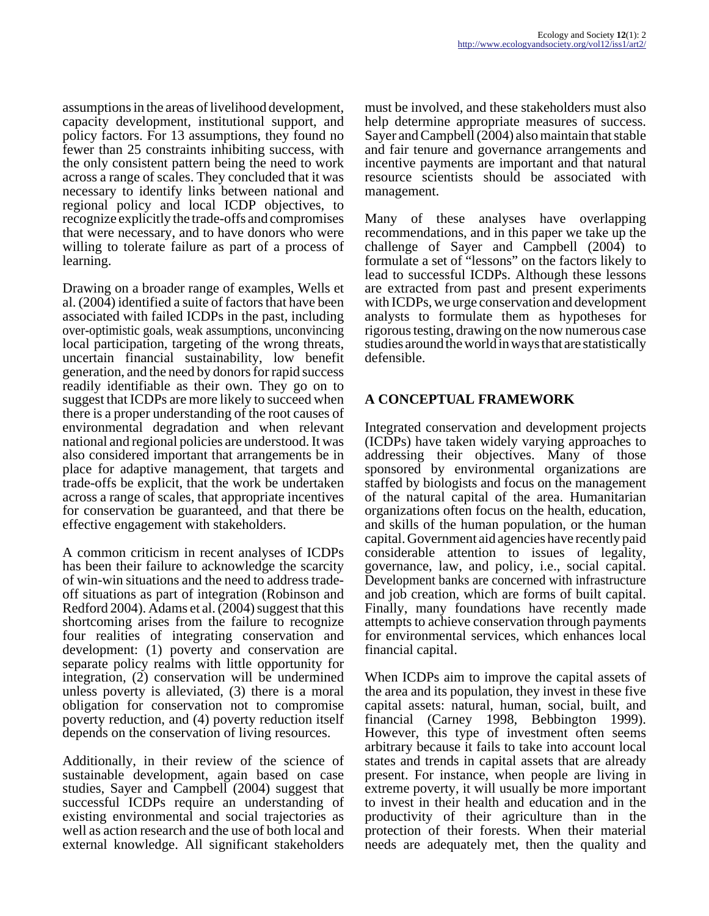assumptions in the areas of livelihood development, capacity development, institutional support, and policy factors. For 13 assumptions, they found no fewer than 25 constraints inhibiting success, with the only consistent pattern being the need to work across a range of scales. They concluded that it was necessary to identify links between national and regional policy and local ICDP objectives, to recognize explicitly the trade-offs and compromises that were necessary, and to have donors who were willing to tolerate failure as part of a process of learning.

Drawing on a broader range of examples, Wells et al. (2004) identified a suite of factors that have been associated with failed ICDPs in the past, including over-optimistic goals, weak assumptions, unconvincing local participation, targeting of the wrong threats, uncertain financial sustainability, low benefit generation, and the need by donors for rapid success readily identifiable as their own. They go on to suggest that ICDPs are more likely to succeed when there is a proper understanding of the root causes of environmental degradation and when relevant national and regional policies are understood. It was also considered important that arrangements be in place for adaptive management, that targets and trade-offs be explicit, that the work be undertaken across a range of scales, that appropriate incentives for conservation be guaranteed, and that there be effective engagement with stakeholders.

A common criticism in recent analyses of ICDPs has been their failure to acknowledge the scarcity of win-win situations and the need to address tradeoff situations as part of integration (Robinson and Redford 2004). Adams et al. (2004) suggest that this shortcoming arises from the failure to recognize four realities of integrating conservation and development: (1) poverty and conservation are separate policy realms with little opportunity for integration, (2) conservation will be undermined unless poverty is alleviated, (3) there is a moral obligation for conservation not to compromise poverty reduction, and (4) poverty reduction itself depends on the conservation of living resources.

Additionally, in their review of the science of sustainable development, again based on case studies, Sayer and Campbell (2004) suggest that successful ICDPs require an understanding of existing environmental and social trajectories as well as action research and the use of both local and external knowledge. All significant stakeholders

must be involved, and these stakeholders must also help determine appropriate measures of success. Sayer and Campbell (2004) also maintain that stable and fair tenure and governance arrangements and incentive payments are important and that natural resource scientists should be associated with management.

Many of these analyses have overlapping recommendations, and in this paper we take up the challenge of Sayer and Campbell (2004) to formulate a set of "lessons" on the factors likely to lead to successful ICDPs. Although these lessons are extracted from past and present experiments with ICDPs, we urge conservation and development analysts to formulate them as hypotheses for rigorous testing, drawing on the now numerous case studies around the world in ways that are statistically defensible.

## **A CONCEPTUAL FRAMEWORK**

Integrated conservation and development projects (ICDPs) have taken widely varying approaches to addressing their objectives. Many of those sponsored by environmental organizations are staffed by biologists and focus on the management of the natural capital of the area. Humanitarian organizations often focus on the health, education, and skills of the human population, or the human capital. Government aid agencies have recently paid considerable attention to issues of legality, governance, law, and policy, i.e., social capital. Development banks are concerned with infrastructure and job creation, which are forms of built capital. Finally, many foundations have recently made attempts to achieve conservation through payments for environmental services, which enhances local financial capital.

When ICDPs aim to improve the capital assets of the area and its population, they invest in these five capital assets: natural, human, social, built, and financial (Carney 1998, Bebbington 1999). However, this type of investment often seems arbitrary because it fails to take into account local states and trends in capital assets that are already present. For instance, when people are living in extreme poverty, it will usually be more important to invest in their health and education and in the productivity of their agriculture than in the protection of their forests. When their material needs are adequately met, then the quality and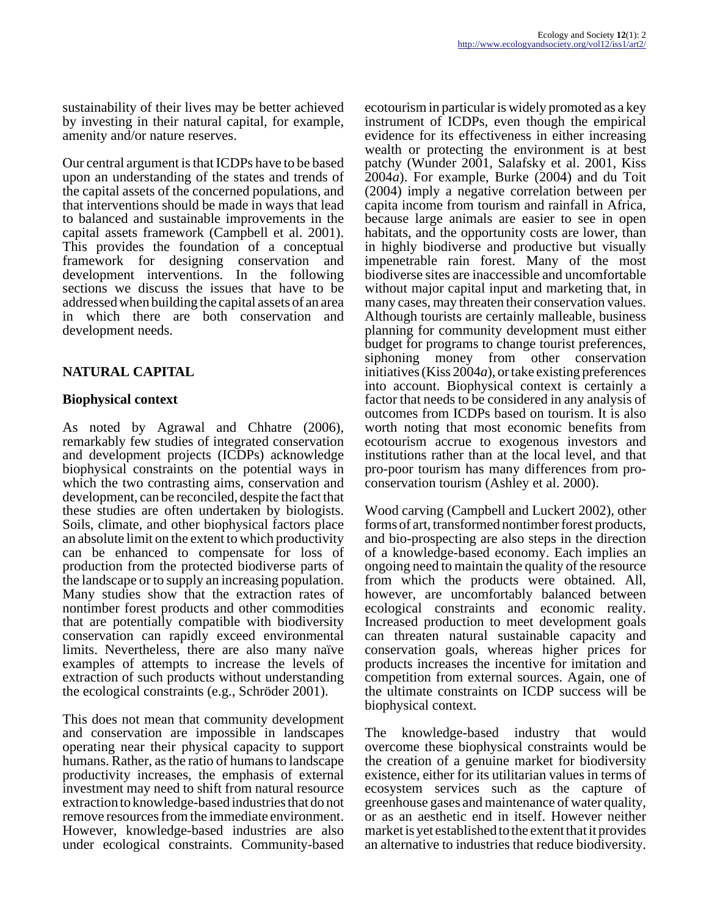sustainability of their lives may be better achieved by investing in their natural capital, for example, amenity and/or nature reserves.

Our central argument is that ICDPs have to be based upon an understanding of the states and trends of the capital assets of the concerned populations, and that interventions should be made in ways that lead to balanced and sustainable improvements in the capital assets framework (Campbell et al. 2001). This provides the foundation of a conceptual framework for designing conservation and development interventions. In the following sections we discuss the issues that have to be addressed when building the capital assets of an area in which there are both conservation and development needs.

## **NATURAL CAPITAL**

### **Biophysical context**

As noted by Agrawal and Chhatre (2006), remarkably few studies of integrated conservation and development projects (ICDPs) acknowledge biophysical constraints on the potential ways in which the two contrasting aims, conservation and development, can be reconciled, despite the fact that these studies are often undertaken by biologists. Soils, climate, and other biophysical factors place an absolute limit on the extent to which productivity can be enhanced to compensate for loss of production from the protected biodiverse parts of the landscape or to supply an increasing population. Many studies show that the extraction rates of nontimber forest products and other commodities that are potentially compatible with biodiversity conservation can rapidly exceed environmental limits. Nevertheless, there are also many naïve examples of attempts to increase the levels of extraction of such products without understanding the ecological constraints (e.g., Schröder 2001).

This does not mean that community development and conservation are impossible in landscapes operating near their physical capacity to support humans. Rather, as the ratio of humans to landscape productivity increases, the emphasis of external investment may need to shift from natural resource extraction to knowledge-based industries that do not remove resources from the immediate environment. However, knowledge-based industries are also under ecological constraints. Community-based

ecotourism in particular is widely promoted as a key instrument of ICDPs, even though the empirical evidence for its effectiveness in either increasing wealth or protecting the environment is at best patchy (Wunder 2001, Salafsky et al. 2001, Kiss 2004*a*). For example, Burke (2004) and du Toit (2004) imply a negative correlation between per capita income from tourism and rainfall in Africa, because large animals are easier to see in open habitats, and the opportunity costs are lower, than in highly biodiverse and productive but visually impenetrable rain forest. Many of the most biodiverse sites are inaccessible and uncomfortable without major capital input and marketing that, in many cases, may threaten their conservation values. Although tourists are certainly malleable, business planning for community development must either budget for programs to change tourist preferences, siphoning money from other conservation initiatives (Kiss 2004*a*), or take existing preferences into account. Biophysical context is certainly a factor that needs to be considered in any analysis of outcomes from ICDPs based on tourism. It is also worth noting that most economic benefits from ecotourism accrue to exogenous investors and institutions rather than at the local level, and that pro-poor tourism has many differences from proconservation tourism (Ashley et al. 2000).

Wood carving (Campbell and Luckert 2002), other forms of art, transformed nontimber forest products, and bio-prospecting are also steps in the direction of a knowledge-based economy. Each implies an ongoing need to maintain the quality of the resource from which the products were obtained. All, however, are uncomfortably balanced between ecological constraints and economic reality. Increased production to meet development goals can threaten natural sustainable capacity and conservation goals, whereas higher prices for products increases the incentive for imitation and competition from external sources. Again, one of the ultimate constraints on ICDP success will be biophysical context.

The knowledge-based industry that would overcome these biophysical constraints would be the creation of a genuine market for biodiversity existence, either for its utilitarian values in terms of ecosystem services such as the capture of greenhouse gases and maintenance of water quality, or as an aesthetic end in itself. However neither market is yet established to the extent that it provides an alternative to industries that reduce biodiversity.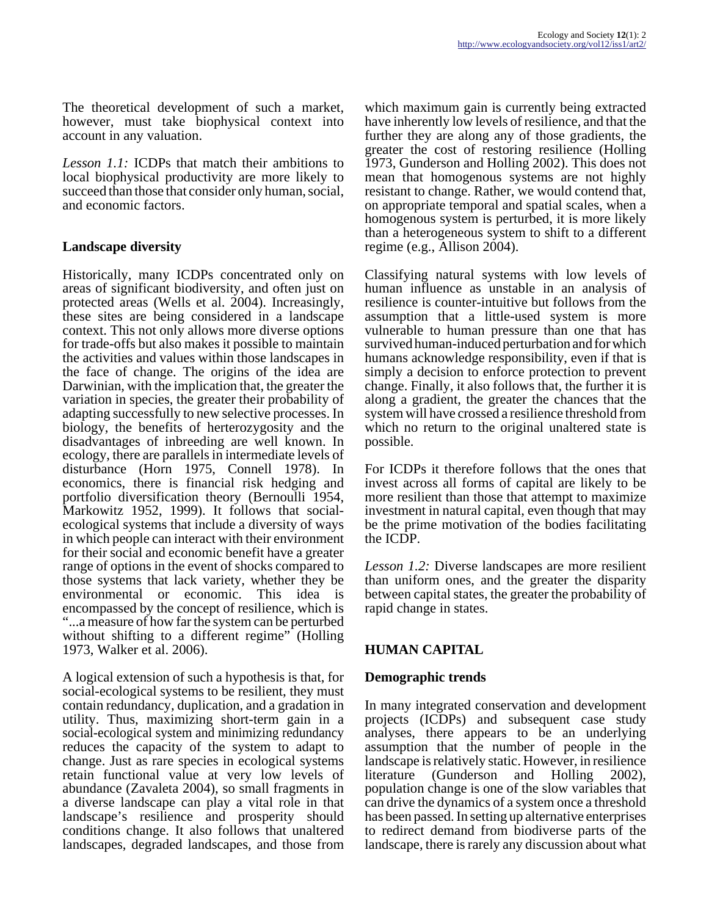The theoretical development of such a market, however, must take biophysical context into account in any valuation.

*Lesson 1.1:* ICDPs that match their ambitions to local biophysical productivity are more likely to succeed than those that consider only human, social, and economic factors.

## **Landscape diversity**

Historically, many ICDPs concentrated only on areas of significant biodiversity, and often just on protected areas (Wells et al. 2004). Increasingly, these sites are being considered in a landscape context. This not only allows more diverse options for trade-offs but also makes it possible to maintain the activities and values within those landscapes in the face of change. The origins of the idea are Darwinian, with the implication that, the greater the variation in species, the greater their probability of adapting successfully to new selective processes. In biology, the benefits of herterozygosity and the disadvantages of inbreeding are well known. In ecology, there are parallels in intermediate levels of disturbance (Horn 1975, Connell 1978). In economics, there is financial risk hedging and portfolio diversification theory (Bernoulli 1954, Markowitz 1952, 1999). It follows that socialecological systems that include a diversity of ways in which people can interact with their environment for their social and economic benefit have a greater range of options in the event of shocks compared to those systems that lack variety, whether they be environmental or economic. This idea is encompassed by the concept of resilience, which is "...a measure of how far the system can be perturbed without shifting to a different regime" (Holling 1973, Walker et al. 2006).

A logical extension of such a hypothesis is that, for social-ecological systems to be resilient, they must contain redundancy, duplication, and a gradation in utility. Thus, maximizing short-term gain in a social-ecological system and minimizing redundancy reduces the capacity of the system to adapt to change. Just as rare species in ecological systems retain functional value at very low levels of abundance (Zavaleta 2004), so small fragments in a diverse landscape can play a vital role in that landscape's resilience and prosperity should conditions change. It also follows that unaltered landscapes, degraded landscapes, and those from

which maximum gain is currently being extracted have inherently low levels of resilience, and that the further they are along any of those gradients, the greater the cost of restoring resilience (Holling 1973, Gunderson and Holling 2002). This does not mean that homogenous systems are not highly resistant to change. Rather, we would contend that, on appropriate temporal and spatial scales, when a homogenous system is perturbed, it is more likely than a heterogeneous system to shift to a different regime (e.g., Allison 2004).

Classifying natural systems with low levels of human influence as unstable in an analysis of resilience is counter-intuitive but follows from the assumption that a little-used system is more vulnerable to human pressure than one that has survived human-induced perturbation and for which humans acknowledge responsibility, even if that is simply a decision to enforce protection to prevent change. Finally, it also follows that, the further it is along a gradient, the greater the chances that the system will have crossed a resilience threshold from which no return to the original unaltered state is possible.

For ICDPs it therefore follows that the ones that invest across all forms of capital are likely to be more resilient than those that attempt to maximize investment in natural capital, even though that may be the prime motivation of the bodies facilitating the ICDP.

*Lesson 1.2:* Diverse landscapes are more resilient than uniform ones, and the greater the disparity between capital states, the greater the probability of rapid change in states.

# **HUMAN CAPITAL**

### **Demographic trends**

In many integrated conservation and development projects (ICDPs) and subsequent case study analyses, there appears to be an underlying assumption that the number of people in the landscape is relatively static. However, in resilience literature (Gunderson and Holling 2002), population change is one of the slow variables that can drive the dynamics of a system once a threshold has been passed. In setting up alternative enterprises to redirect demand from biodiverse parts of the landscape, there is rarely any discussion about what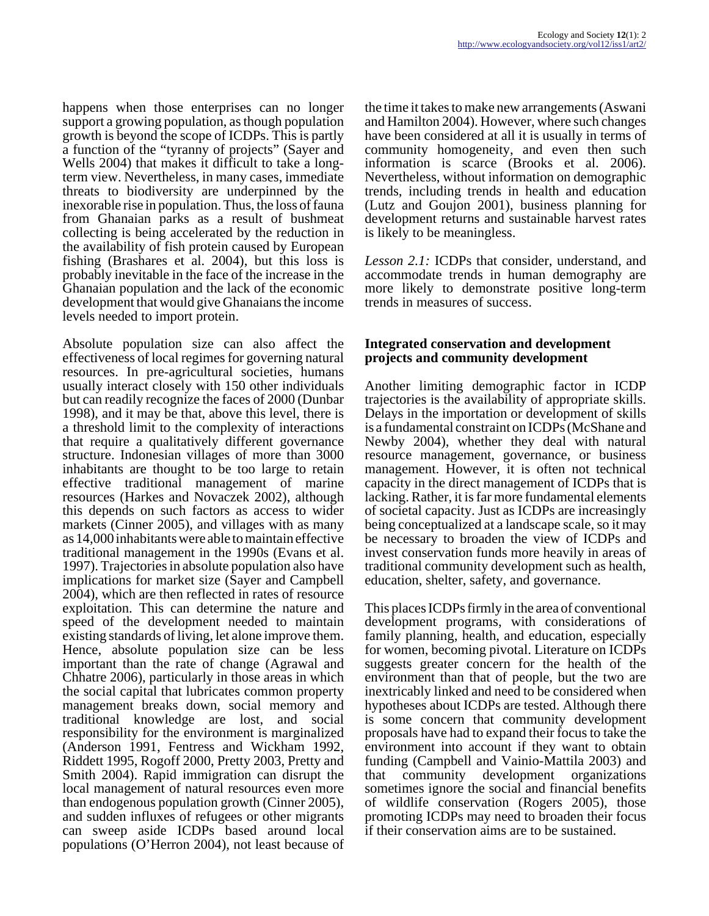happens when those enterprises can no longer support a growing population, as though population growth is beyond the scope of ICDPs. This is partly a function of the "tyranny of projects" (Sayer and Wells 2004) that makes it difficult to take a longterm view. Nevertheless, in many cases, immediate threats to biodiversity are underpinned by the inexorable rise in population. Thus, the loss of fauna from Ghanaian parks as a result of bushmeat collecting is being accelerated by the reduction in the availability of fish protein caused by European fishing (Brashares et al. 2004), but this loss is probably inevitable in the face of the increase in the Ghanaian population and the lack of the economic development that would give Ghanaians the income levels needed to import protein.

Absolute population size can also affect the effectiveness of local regimes for governing natural resources. In pre-agricultural societies, humans usually interact closely with 150 other individuals but can readily recognize the faces of 2000 (Dunbar 1998), and it may be that, above this level, there is a threshold limit to the complexity of interactions that require a qualitatively different governance structure. Indonesian villages of more than 3000 inhabitants are thought to be too large to retain effective traditional management of marine resources (Harkes and Novaczek 2002), although this depends on such factors as access to wider markets (Cinner 2005), and villages with as many as 14,000 inhabitants were able to maintain effective traditional management in the 1990s (Evans et al. 1997). Trajectories in absolute population also have implications for market size (Sayer and Campbell 2004), which are then reflected in rates of resource exploitation. This can determine the nature and speed of the development needed to maintain existing standards of living, let alone improve them. Hence, absolute population size can be less important than the rate of change (Agrawal and Chhatre 2006), particularly in those areas in which the social capital that lubricates common property management breaks down, social memory and traditional knowledge are lost, and social responsibility for the environment is marginalized (Anderson 1991, Fentress and Wickham 1992, Riddett 1995, Rogoff 2000, Pretty 2003, Pretty and Smith 2004). Rapid immigration can disrupt the local management of natural resources even more than endogenous population growth (Cinner 2005), and sudden influxes of refugees or other migrants can sweep aside ICDPs based around local populations (O'Herron 2004), not least because of

the time it takes to make new arrangements (Aswani and Hamilton 2004). However, where such changes have been considered at all it is usually in terms of community homogeneity, and even then such information is scarce (Brooks et al. 2006). Nevertheless, without information on demographic trends, including trends in health and education (Lutz and Goujon 2001), business planning for development returns and sustainable harvest rates is likely to be meaningless.

*Lesson 2.1:* ICDPs that consider, understand, and accommodate trends in human demography are more likely to demonstrate positive long-term trends in measures of success.

### **Integrated conservation and development projects and community development**

Another limiting demographic factor in ICDP trajectories is the availability of appropriate skills. Delays in the importation or development of skills is a fundamental constraint on ICDPs (McShane and Newby 2004), whether they deal with natural resource management, governance, or business management. However, it is often not technical capacity in the direct management of ICDPs that is lacking. Rather, it is far more fundamental elements of societal capacity. Just as ICDPs are increasingly being conceptualized at a landscape scale, so it may be necessary to broaden the view of ICDPs and invest conservation funds more heavily in areas of traditional community development such as health, education, shelter, safety, and governance.

This places ICDPs firmly in the area of conventional development programs, with considerations of family planning, health, and education, especially for women, becoming pivotal. Literature on ICDPs suggests greater concern for the health of the environment than that of people, but the two are inextricably linked and need to be considered when hypotheses about ICDPs are tested. Although there is some concern that community development proposals have had to expand their focus to take the environment into account if they want to obtain funding (Campbell and Vainio-Mattila 2003) and that community development organizations sometimes ignore the social and financial benefits of wildlife conservation (Rogers 2005), those promoting ICDPs may need to broaden their focus if their conservation aims are to be sustained.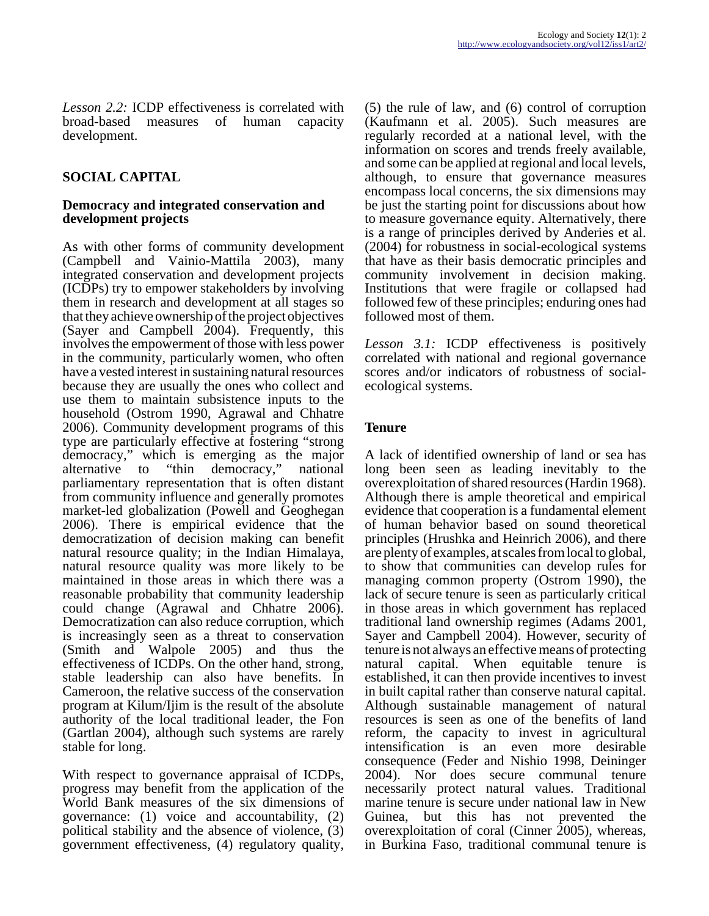*Lesson 2.2:* ICDP effectiveness is correlated with broad-based measures of human capacity development.

## **SOCIAL CAPITAL**

### **Democracy and integrated conservation and development projects**

As with other forms of community development (Campbell and Vainio-Mattila 2003), many integrated conservation and development projects (ICDPs) try to empower stakeholders by involving them in research and development at all stages so that they achieve ownership of the project objectives (Sayer and Campbell 2004). Frequently, this involves the empowerment of those with less power in the community, particularly women, who often have a vested interest in sustaining natural resources because they are usually the ones who collect and use them to maintain subsistence inputs to the household (Ostrom 1990, Agrawal and Chhatre 2006). Community development programs of this type are particularly effective at fostering "strong democracy," which is emerging as the major alternative to "thin democracy," national parliamentary representation that is often distant from community influence and generally promotes market-led globalization (Powell and Geoghegan 2006). There is empirical evidence that the democratization of decision making can benefit natural resource quality; in the Indian Himalaya, natural resource quality was more likely to be maintained in those areas in which there was a reasonable probability that community leadership could change (Agrawal and Chhatre 2006). Democratization can also reduce corruption, which is increasingly seen as a threat to conservation (Smith and Walpole 2005) and thus the effectiveness of ICDPs. On the other hand, strong, stable leadership can also have benefits. In Cameroon, the relative success of the conservation program at Kilum/Ijim is the result of the absolute authority of the local traditional leader, the Fon (Gartlan 2004), although such systems are rarely stable for long.

With respect to governance appraisal of ICDPs, progress may benefit from the application of the World Bank measures of the six dimensions of governance: (1) voice and accountability, (2) political stability and the absence of violence, (3) government effectiveness, (4) regulatory quality,

(5) the rule of law, and (6) control of corruption (Kaufmann et al. 2005). Such measures are regularly recorded at a national level, with the information on scores and trends freely available, and some can be applied at regional and local levels, although, to ensure that governance measures encompass local concerns, the six dimensions may be just the starting point for discussions about how to measure governance equity. Alternatively, there is a range of principles derived by Anderies et al. (2004) for robustness in social-ecological systems that have as their basis democratic principles and community involvement in decision making. Institutions that were fragile or collapsed had followed few of these principles; enduring ones had followed most of them.

*Lesson 3.1:* ICDP effectiveness is positively correlated with national and regional governance scores and/or indicators of robustness of socialecological systems.

### **Tenure**

A lack of identified ownership of land or sea has long been seen as leading inevitably to the overexploitation of shared resources (Hardin 1968). Although there is ample theoretical and empirical evidence that cooperation is a fundamental element of human behavior based on sound theoretical principles (Hrushka and Heinrich 2006), and there are plenty of examples, at scales from local to global, to show that communities can develop rules for managing common property (Ostrom 1990), the lack of secure tenure is seen as particularly critical in those areas in which government has replaced traditional land ownership regimes (Adams 2001, Sayer and Campbell 2004). However, security of tenure is not always an effective means of protecting natural capital. When equitable tenure is established, it can then provide incentives to invest in built capital rather than conserve natural capital. Although sustainable management of natural resources is seen as one of the benefits of land reform, the capacity to invest in agricultural intensification is an even more desirable consequence (Feder and Nishio 1998, Deininger 2004). Nor does secure communal tenure necessarily protect natural values. Traditional marine tenure is secure under national law in New Guinea, but this has not prevented the overexploitation of coral (Cinner 2005), whereas, in Burkina Faso, traditional communal tenure is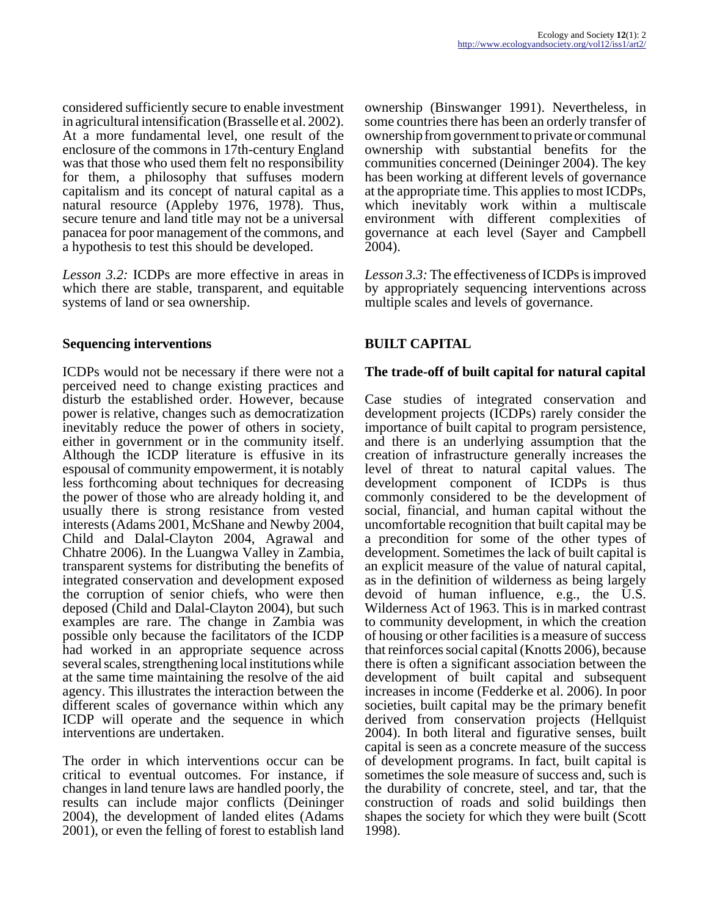considered sufficiently secure to enable investment in agricultural intensification (Brasselle et al. 2002). At a more fundamental level, one result of the enclosure of the commons in 17th-century England was that those who used them felt no responsibility for them, a philosophy that suffuses modern capitalism and its concept of natural capital as a natural resource (Appleby 1976, 1978). Thus, secure tenure and land title may not be a universal panacea for poor management of the commons, and a hypothesis to test this should be developed.

*Lesson 3.2:* ICDPs are more effective in areas in which there are stable, transparent, and equitable systems of land or sea ownership.

### **Sequencing interventions**

ICDPs would not be necessary if there were not a perceived need to change existing practices and disturb the established order. However, because power is relative, changes such as democratization inevitably reduce the power of others in society, either in government or in the community itself. Although the ICDP literature is effusive in its espousal of community empowerment, it is notably less forthcoming about techniques for decreasing the power of those who are already holding it, and usually there is strong resistance from vested interests (Adams 2001, McShane and Newby 2004, Child and Dalal-Clayton 2004, Agrawal and Chhatre 2006). In the Luangwa Valley in Zambia, transparent systems for distributing the benefits of integrated conservation and development exposed the corruption of senior chiefs, who were then deposed (Child and Dalal-Clayton 2004), but such examples are rare. The change in Zambia was possible only because the facilitators of the ICDP had worked in an appropriate sequence across several scales, strengthening local institutions while at the same time maintaining the resolve of the aid agency. This illustrates the interaction between the different scales of governance within which any ICDP will operate and the sequence in which interventions are undertaken.

The order in which interventions occur can be critical to eventual outcomes. For instance, if changes in land tenure laws are handled poorly, the results can include major conflicts (Deininger 2004), the development of landed elites (Adams 2001), or even the felling of forest to establish land ownership (Binswanger 1991). Nevertheless, in some countries there has been an orderly transfer of ownership from government to private or communal ownership with substantial benefits for the communities concerned (Deininger 2004). The key has been working at different levels of governance at the appropriate time. This applies to most ICDPs, which inevitably work within a multiscale environment with different complexities of governance at each level (Sayer and Campbell 2004).

*Lesson 3.3:* The effectiveness of ICDPs is improved by appropriately sequencing interventions across multiple scales and levels of governance.

## **BUILT CAPITAL**

### **The trade-off of built capital for natural capital**

Case studies of integrated conservation and development projects (ICDPs) rarely consider the importance of built capital to program persistence, and there is an underlying assumption that the creation of infrastructure generally increases the level of threat to natural capital values. The development component of ICDPs is thus commonly considered to be the development of social, financial, and human capital without the uncomfortable recognition that built capital may be a precondition for some of the other types of development. Sometimes the lack of built capital is an explicit measure of the value of natural capital, as in the definition of wilderness as being largely devoid of human influence, e.g., the U.S. Wilderness Act of 1963. This is in marked contrast to community development, in which the creation of housing or other facilities is a measure of success that reinforces social capital (Knotts 2006), because there is often a significant association between the development of built capital and subsequent increases in income (Fedderke et al. 2006). In poor societies, built capital may be the primary benefit derived from conservation projects (Hellquist 2004). In both literal and figurative senses, built capital is seen as a concrete measure of the success of development programs. In fact, built capital is sometimes the sole measure of success and, such is the durability of concrete, steel, and tar, that the construction of roads and solid buildings then shapes the society for which they were built (Scott 1998).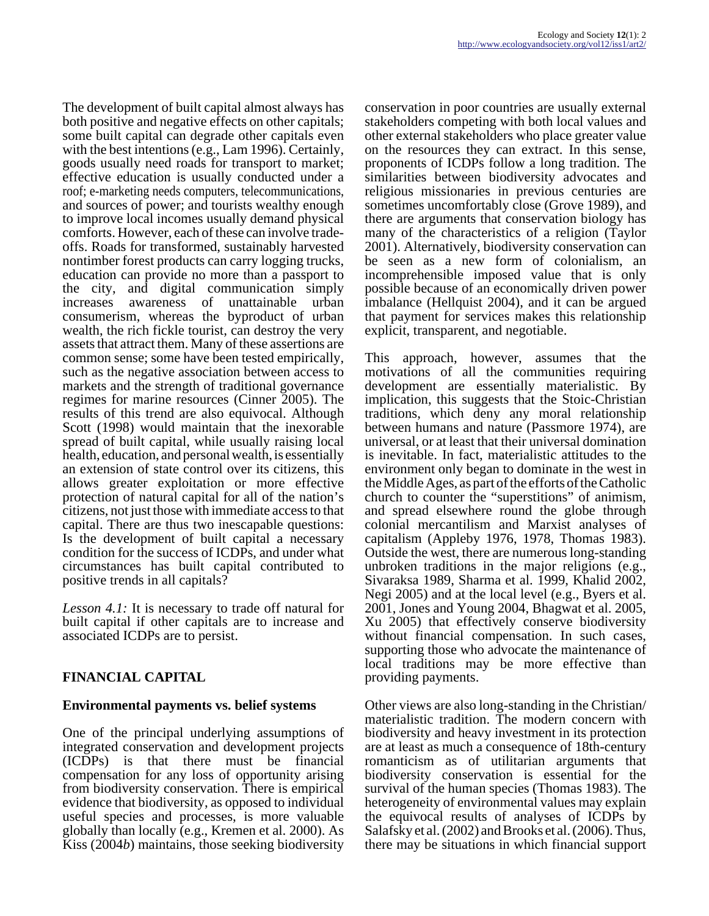The development of built capital almost always has both positive and negative effects on other capitals; some built capital can degrade other capitals even with the best intentions (e.g., Lam 1996). Certainly, goods usually need roads for transport to market; effective education is usually conducted under a roof; e-marketing needs computers, telecommunications, and sources of power; and tourists wealthy enough to improve local incomes usually demand physical comforts. However, each of these can involve tradeoffs. Roads for transformed, sustainably harvested nontimber forest products can carry logging trucks, education can provide no more than a passport to the city, and digital communication simply increases awareness of unattainable urban consumerism, whereas the byproduct of urban wealth, the rich fickle tourist, can destroy the very assets that attract them. Many of these assertions are common sense; some have been tested empirically, such as the negative association between access to markets and the strength of traditional governance regimes for marine resources (Cinner 2005). The results of this trend are also equivocal. Although Scott (1998) would maintain that the inexorable spread of built capital, while usually raising local health, education, and personal wealth, is essentially an extension of state control over its citizens, this allows greater exploitation or more effective protection of natural capital for all of the nation's citizens, not just those with immediate access to that capital. There are thus two inescapable questions: Is the development of built capital a necessary condition for the success of ICDPs, and under what circumstances has built capital contributed to positive trends in all capitals?

*Lesson 4.1:* It is necessary to trade off natural for built capital if other capitals are to increase and associated ICDPs are to persist.

# **FINANCIAL CAPITAL**

#### **Environmental payments vs. belief systems**

One of the principal underlying assumptions of integrated conservation and development projects (ICDPs) is that there must be financial compensation for any loss of opportunity arising from biodiversity conservation. There is empirical evidence that biodiversity, as opposed to individual useful species and processes, is more valuable globally than locally (e.g., Kremen et al. 2000). As Kiss (2004*b*) maintains, those seeking biodiversity

conservation in poor countries are usually external stakeholders competing with both local values and other external stakeholders who place greater value on the resources they can extract. In this sense, proponents of ICDPs follow a long tradition. The similarities between biodiversity advocates and religious missionaries in previous centuries are sometimes uncomfortably close (Grove 1989), and there are arguments that conservation biology has many of the characteristics of a religion (Taylor 2001). Alternatively, biodiversity conservation can be seen as a new form of colonialism, an incomprehensible imposed value that is only possible because of an economically driven power imbalance (Hellquist 2004), and it can be argued that payment for services makes this relationship explicit, transparent, and negotiable.

This approach, however, assumes that the motivations of all the communities requiring development are essentially materialistic. By implication, this suggests that the Stoic-Christian traditions, which deny any moral relationship between humans and nature (Passmore 1974), are universal, or at least that their universal domination is inevitable. In fact, materialistic attitudes to the environment only began to dominate in the west in the Middle Ages, as part of the efforts of the Catholic church to counter the "superstitions" of animism, and spread elsewhere round the globe through colonial mercantilism and Marxist analyses of capitalism (Appleby 1976, 1978, Thomas 1983). Outside the west, there are numerous long-standing unbroken traditions in the major religions (e.g., Sivaraksa 1989, Sharma et al. 1999, Khalid 2002, Negi 2005) and at the local level (e.g., Byers et al. 2001, Jones and Young 2004, Bhagwat et al. 2005, Xu 2005) that effectively conserve biodiversity without financial compensation. In such cases, supporting those who advocate the maintenance of local traditions may be more effective than providing payments.

Other views are also long-standing in the Christian/ materialistic tradition. The modern concern with biodiversity and heavy investment in its protection are at least as much a consequence of 18th-century romanticism as of utilitarian arguments that biodiversity conservation is essential for the survival of the human species (Thomas 1983). The heterogeneity of environmental values may explain the equivocal results of analyses of ICDPs by Salafsky et al. (2002) and Brooks et al. (2006). Thus, there may be situations in which financial support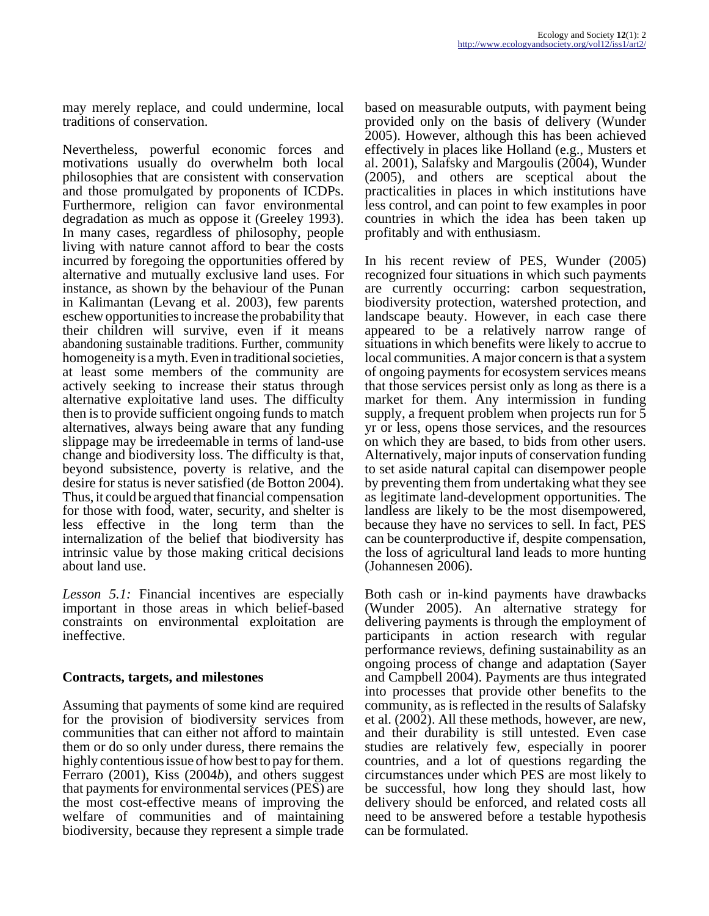may merely replace, and could undermine, local traditions of conservation.

Nevertheless, powerful economic forces and motivations usually do overwhelm both local philosophies that are consistent with conservation and those promulgated by proponents of ICDPs. Furthermore, religion can favor environmental degradation as much as oppose it (Greeley 1993). In many cases, regardless of philosophy, people living with nature cannot afford to bear the costs incurred by foregoing the opportunities offered by alternative and mutually exclusive land uses. For instance, as shown by the behaviour of the Punan in Kalimantan (Levang et al. 2003), few parents eschew opportunities to increase the probability that their children will survive, even if it means abandoning sustainable traditions. Further, community homogeneity is a myth. Even in traditional societies, at least some members of the community are actively seeking to increase their status through alternative exploitative land uses. The difficulty then is to provide sufficient ongoing funds to match alternatives, always being aware that any funding slippage may be irredeemable in terms of land-use change and biodiversity loss. The difficulty is that, beyond subsistence, poverty is relative, and the desire for status is never satisfied (de Botton 2004). Thus, it could be argued that financial compensation for those with food, water, security, and shelter is less effective in the long term than the internalization of the belief that biodiversity has intrinsic value by those making critical decisions about land use.

*Lesson 5.1:* Financial incentives are especially important in those areas in which belief-based constraints on environmental exploitation are ineffective.

### **Contracts, targets, and milestones**

Assuming that payments of some kind are required for the provision of biodiversity services from communities that can either not afford to maintain them or do so only under duress, there remains the highly contentious issue of how best to pay for them. Ferraro (2001), Kiss (2004*b*), and others suggest that payments for environmental services (PES) are the most cost-effective means of improving the welfare of communities and of maintaining biodiversity, because they represent a simple trade

based on measurable outputs, with payment being provided only on the basis of delivery (Wunder 2005). However, although this has been achieved effectively in places like Holland (e.g., Musters et al. 2001), Salafsky and Margoulis (2004), Wunder (2005), and others are sceptical about the practicalities in places in which institutions have less control, and can point to few examples in poor countries in which the idea has been taken up profitably and with enthusiasm.

In his recent review of PES, Wunder (2005) recognized four situations in which such payments are currently occurring: carbon sequestration, biodiversity protection, watershed protection, and landscape beauty. However, in each case there appeared to be a relatively narrow range of situations in which benefits were likely to accrue to local communities. A major concern is that a system of ongoing payments for ecosystem services means that those services persist only as long as there is a market for them. Any intermission in funding supply, a frequent problem when projects run for 5 yr or less, opens those services, and the resources on which they are based, to bids from other users. Alternatively, major inputs of conservation funding to set aside natural capital can disempower people by preventing them from undertaking what they see as legitimate land-development opportunities. The landless are likely to be the most disempowered, because they have no services to sell. In fact, PES can be counterproductive if, despite compensation, the loss of agricultural land leads to more hunting (Johannesen 2006).

Both cash or in-kind payments have drawbacks (Wunder 2005). An alternative strategy for delivering payments is through the employment of participants in action research with regular performance reviews, defining sustainability as an ongoing process of change and adaptation (Sayer and Campbell 2004). Payments are thus integrated into processes that provide other benefits to the community, as is reflected in the results of Salafsky et al. (2002). All these methods, however, are new, and their durability is still untested. Even case studies are relatively few, especially in poorer countries, and a lot of questions regarding the circumstances under which PES are most likely to be successful, how long they should last, how delivery should be enforced, and related costs all need to be answered before a testable hypothesis can be formulated.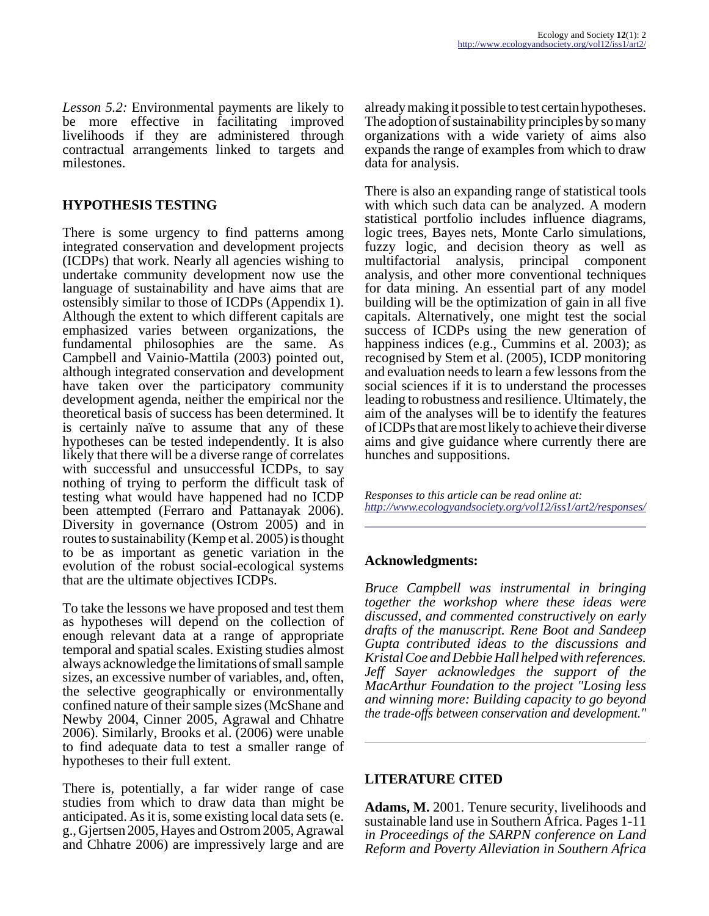*Lesson 5.2:* Environmental payments are likely to be more effective in facilitating improved livelihoods if they are administered through contractual arrangements linked to targets and milestones.

## **HYPOTHESIS TESTING**

There is some urgency to find patterns among integrated conservation and development projects (ICDPs) that work. Nearly all agencies wishing to undertake community development now use the language of sustainability and have aims that are ostensibly similar to those of ICDPs (Appendix 1). Although the extent to which different capitals are emphasized varies between organizations, the fundamental philosophies are the same. As Campbell and Vainio-Mattila (2003) pointed out, although integrated conservation and development have taken over the participatory community development agenda, neither the empirical nor the theoretical basis of success has been determined. It is certainly naïve to assume that any of these hypotheses can be tested independently. It is also likely that there will be a diverse range of correlates with successful and unsuccessful ICDPs, to say nothing of trying to perform the difficult task of testing what would have happened had no ICDP been attempted (Ferraro and Pattanayak 2006). Diversity in governance (Ostrom 2005) and in routes to sustainability (Kemp et al. 2005) is thought to be as important as genetic variation in the evolution of the robust social-ecological systems that are the ultimate objectives ICDPs.

To take the lessons we have proposed and test them as hypotheses will depend on the collection of enough relevant data at a range of appropriate temporal and spatial scales. Existing studies almost always acknowledge the limitations of small sample sizes, an excessive number of variables, and, often, the selective geographically or environmentally confined nature of their sample sizes (McShane and Newby 2004, Cinner 2005, Agrawal and Chhatre 2006). Similarly, Brooks et al. (2006) were unable to find adequate data to test a smaller range of hypotheses to their full extent.

There is, potentially, a far wider range of case studies from which to draw data than might be anticipated. As it is, some existing local data sets (e. g., Gjertsen 2005, Hayes and Ostrom 2005, Agrawal and Chhatre 2006) are impressively large and are

already making it possible to test certain hypotheses. The adoption of sustainability principles by so many organizations with a wide variety of aims also expands the range of examples from which to draw data for analysis.

There is also an expanding range of statistical tools with which such data can be analyzed. A modern statistical portfolio includes influence diagrams, logic trees, Bayes nets, Monte Carlo simulations, fuzzy logic, and decision theory as well as multifactorial analysis, principal component analysis, and other more conventional techniques for data mining. An essential part of any model building will be the optimization of gain in all five capitals. Alternatively, one might test the social success of ICDPs using the new generation of happiness indices (e.g., Cummins et al. 2003); as recognised by Stem et al. (2005), ICDP monitoring and evaluation needs to learn a few lessons from the social sciences if it is to understand the processes leading to robustness and resilience. Ultimately, the aim of the analyses will be to identify the features of ICDPs that are most likely to achieve their diverse aims and give guidance where currently there are hunches and suppositions.

*Responses to this article can be read online at: <http://www.ecologyandsociety.org/vol12/iss1/art2/responses/>*

### **Acknowledgments:**

*Bruce Campbell was instrumental in bringing together the workshop where these ideas were discussed, and commented constructively on early drafts of the manuscript. Rene Boot and Sandeep Gupta contributed ideas to the discussions and Kristal Coe and Debbie Hall helped with references. Jeff Sayer acknowledges the support of the MacArthur Foundation to the project "Losing less and winning more: Building capacity to go beyond the trade-offs between conservation and development."*

#### **LITERATURE CITED**

**Adams, M.** 2001. Tenure security, livelihoods and sustainable land use in Southern Africa. Pages 1-11 *in Proceedings of the SARPN conference on Land Reform and Poverty Alleviation in Southern Africa*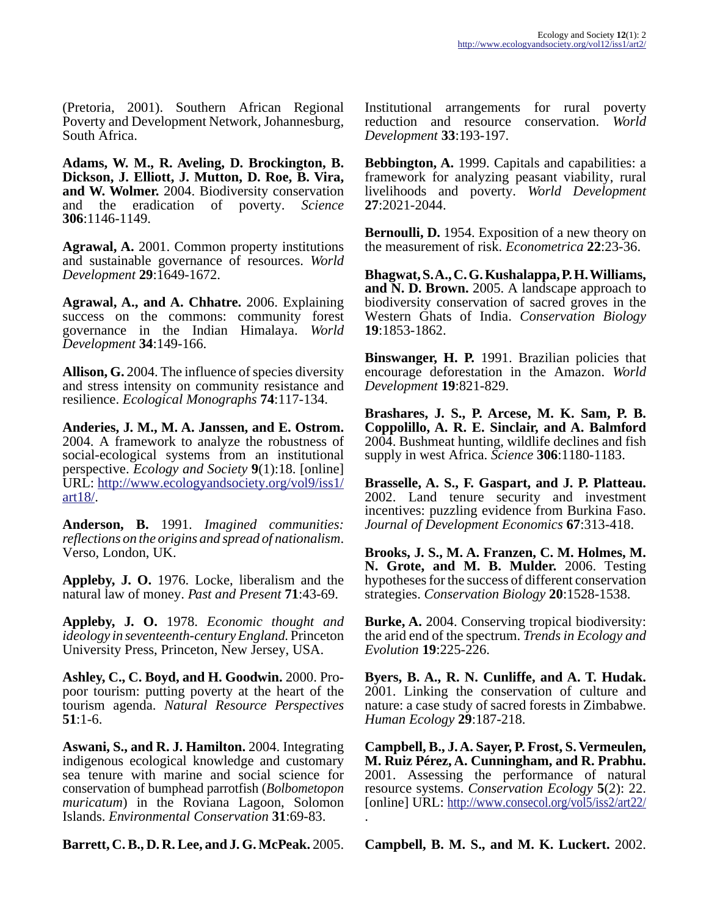(Pretoria, 2001). Southern African Regional Poverty and Development Network, Johannesburg, South Africa.

**Adams, W. M., R. Aveling, D. Brockington, B. Dickson, J. Elliott, J. Mutton, D. Roe, B. Vira, and W. Wolmer.** 2004. Biodiversity conservation and the eradication of poverty. *Science* **306**:1146-1149.

**Agrawal, A.** 2001. Common property institutions and sustainable governance of resources. *World Development* **29**:1649-1672.

**Agrawal, A., and A. Chhatre.** 2006. Explaining success on the commons: community forest governance in the Indian Himalaya. *World Development* **34**:149-166.

**Allison, G.** 2004. The influence of species diversity and stress intensity on community resistance and resilience. *Ecological Monographs* **74**:117-134.

**Anderies, J. M., M. A. Janssen, and E. Ostrom.** 2004. A framework to analyze the robustness of social-ecological systems from an institutional perspective. *Ecology and Society* **9**(1):18. [online] URL: [http://www.ecologyandsociety.org/vol9/iss1/](http://www.ecologyandsociety.org/vol9/iss1/art18/) [art18/.](http://www.ecologyandsociety.org/vol9/iss1/art18/)

**Anderson, B.** 1991. *Imagined communities: reflections on the origins and spread of nationalism*. Verso, London, UK.

**Appleby, J. O.** 1976. Locke, liberalism and the natural law of money. *Past and Present* **71**:43-69.

**Appleby, J. O.** 1978. *Economic thought and ideology in seventeenth-century England.* Princeton University Press, Princeton, New Jersey, USA.

**Ashley, C., C. Boyd, and H. Goodwin.** 2000. Propoor tourism: putting poverty at the heart of the tourism agenda. *Natural Resource Perspectives* **51**:1-6.

**Aswani, S., and R. J. Hamilton.** 2004. Integrating indigenous ecological knowledge and customary sea tenure with marine and social science for conservation of bumphead parrotfish (*Bolbometopon muricatum*) in the Roviana Lagoon, Solomon Islands. *Environmental Conservation* **31**:69-83.

**Barrett, C. B., D. R. Lee, and J. G. McPeak.** 2005.

Institutional arrangements for rural poverty reduction and resource conservation. *World Development* **33**:193-197.

**Bebbington, A.** 1999. Capitals and capabilities: a framework for analyzing peasant viability, rural livelihoods and poverty. *World Development* **27**:2021-2044.

**Bernoulli, D.** 1954. Exposition of a new theory on the measurement of risk. *Econometrica* **22**:23-36.

**Bhagwat, S. A., C. G. Kushalappa, P. H. Williams, and N. D. Brown.** 2005. A landscape approach to biodiversity conservation of sacred groves in the Western Ghats of India. *Conservation Biology* **19**:1853-1862.

**Binswanger, H. P.** 1991. Brazilian policies that encourage deforestation in the Amazon. *World Development* **19**:821-829.

**Brashares, J. S., P. Arcese, M. K. Sam, P. B. Coppolillo, A. R. E. Sinclair, and A. Balmford** 2004. Bushmeat hunting, wildlife declines and fish supply in west Africa. *Science* **306**:1180-1183.

**Brasselle, A. S., F. Gaspart, and J. P. Platteau.** 2002. Land tenure security and investment incentives: puzzling evidence from Burkina Faso. *Journal of Development Economics* **67**:313-418.

**Brooks, J. S., M. A. Franzen, C. M. Holmes, M. N. Grote, and M. B. Mulder.** 2006. Testing hypotheses for the success of different conservation strategies. *Conservation Biology* **20**:1528-1538.

**Burke, A.** 2004. Conserving tropical biodiversity: the arid end of the spectrum. *Trends in Ecology and Evolution* **19**:225-226.

**Byers, B. A., R. N. Cunliffe, and A. T. Hudak.** 2001. Linking the conservation of culture and nature: a case study of sacred forests in Zimbabwe. *Human Ecology* **29**:187-218.

**Campbell, B., J. A. Sayer, P. Frost, S. Vermeulen, M. Ruiz Pérez, A. Cunningham, and R. Prabhu.** 2001. Assessing the performance of natural resource systems. *Conservation Ecology* **5**(2): 22. [online] URL:<http://www.consecol.org/vol5/iss2/art22/> .

**Campbell, B. M. S., and M. K. Luckert.** 2002.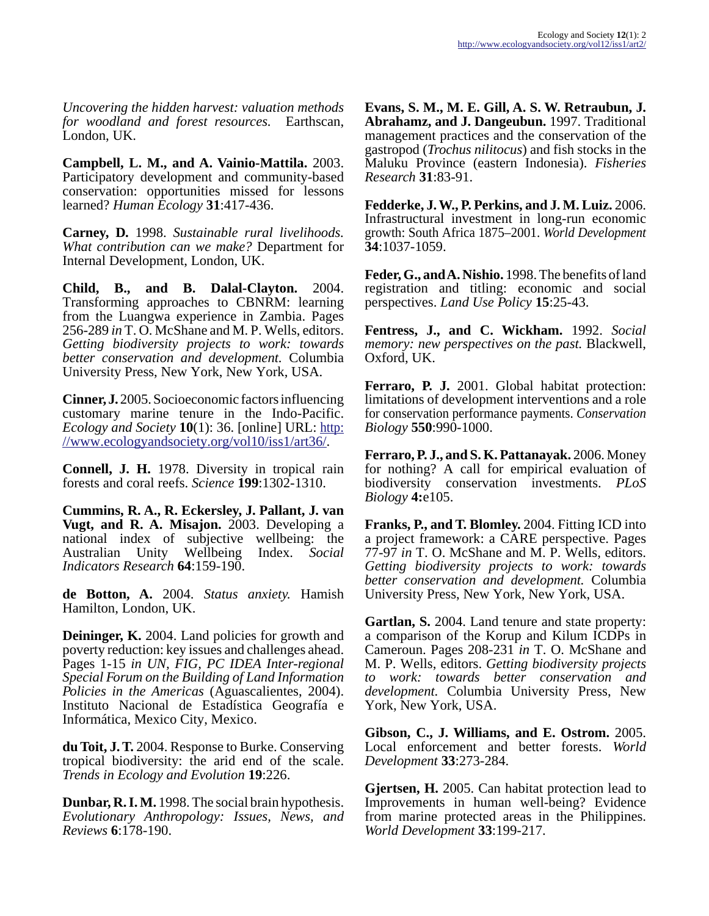*Uncovering the hidden harvest: valuation methods for woodland and forest resources.* Earthscan, London, UK.

**Campbell, L. M., and A. Vainio-Mattila.** 2003. Participatory development and community-based conservation: opportunities missed for lessons learned? *Human Ecology* **31**:417-436.

**Carney, D.** 1998. *Sustainable rural livelihoods. What contribution can we make?* Department for Internal Development, London, UK.

**Child, B., and B. Dalal-Clayton.** 2004. Transforming approaches to CBNRM: learning from the Luangwa experience in Zambia. Pages 256-289 *in* T. O. McShane and M. P. Wells, editors. *Getting biodiversity projects to work: towards better conservation and development.* Columbia University Press, New York, New York, USA.

**Cinner, J.** 2005. Socioeconomic factors influencing customary marine tenure in the Indo-Pacific. *Ecology and Society* **10**(1): 36. [online] URL: [http:](http://www.ecologyandsociety.org/vol10/iss1/art36/) [//www.ecologyandsociety.org/vol10/iss1/art36/.](http://www.ecologyandsociety.org/vol10/iss1/art36/)

**Connell, J. H.** 1978. Diversity in tropical rain forests and coral reefs. *Science* **199**:1302-1310.

**Cummins, R. A., R. Eckersley, J. Pallant, J. van Vugt, and R. A. Misajon.** 2003. Developing a national index of subjective wellbeing: the Australian Unity Wellbeing Index. *Social Indicators Research* **64**:159-190.

**de Botton, A.** 2004. *Status anxiety.* Hamish Hamilton, London, UK.

**Deininger, K.** 2004. Land policies for growth and poverty reduction: key issues and challenges ahead. Pages 1-15 *in UN, FIG, PC IDEA Inter-regional Special Forum on the Building of Land Information Policies in the Americas* (Aguascalientes, 2004). Instituto Nacional de Estadística Geografía e Informática, Mexico City, Mexico.

**du Toit, J. T.** 2004. Response to Burke. Conserving tropical biodiversity: the arid end of the scale. *Trends in Ecology and Evolution* **19**:226.

**Dunbar, R. I. M.** 1998. The social brain hypothesis. *Evolutionary Anthropology: Issues, News, and Reviews* **6**:178-190.

**Evans, S. M., M. E. Gill, A. S. W. Retraubun, J. Abrahamz, and J. Dangeubun.** 1997. Traditional management practices and the conservation of the gastropod (*Trochus nilitocus*) and fish stocks in the Maluku Province (eastern Indonesia). *Fisheries Research* **31**:83-91.

**Fedderke, J. W., P. Perkins, and J. M. Luiz.** 2006. Infrastructural investment in long-run economic growth: South Africa 1875–2001. *World Development* **34**:1037-1059.

**Feder, G., and A. Nishio.** 1998. The benefits of land registration and titling: economic and social perspectives. *Land Use Policy* **15**:25-43.

**Fentress, J., and C. Wickham.** 1992. *Social memory: new perspectives on the past.* Blackwell, Oxford, UK.

**Ferraro, P. J.** 2001. Global habitat protection: limitations of development interventions and a role for conservation performance payments. *Conservation Biology* **550**:990-1000.

**Ferraro, P. J., and S. K. Pattanayak.** 2006. Money for nothing? A call for empirical evaluation of biodiversity conservation investments. *PLoS Biology* **4:**e105.

**Franks, P., and T. Blomley.** 2004. Fitting ICD into a project framework: a CARE perspective. Pages 77-97 *in* T. O. McShane and M. P. Wells, editors. *Getting biodiversity projects to work: towards better conservation and development.* Columbia University Press, New York, New York, USA.

**Gartlan, S.** 2004. Land tenure and state property: a comparison of the Korup and Kilum ICDPs in Cameroun. Pages 208-231 *in* T. O. McShane and M. P. Wells, editors. *Getting biodiversity projects to work: towards better conservation and development.* Columbia University Press, New York, New York, USA.

**Gibson, C., J. Williams, and E. Ostrom.** 2005. Local enforcement and better forests. *World Development* **33**:273-284.

**Gjertsen, H.** 2005. Can habitat protection lead to Improvements in human well-being? Evidence from marine protected areas in the Philippines. *World Development* **33**:199-217.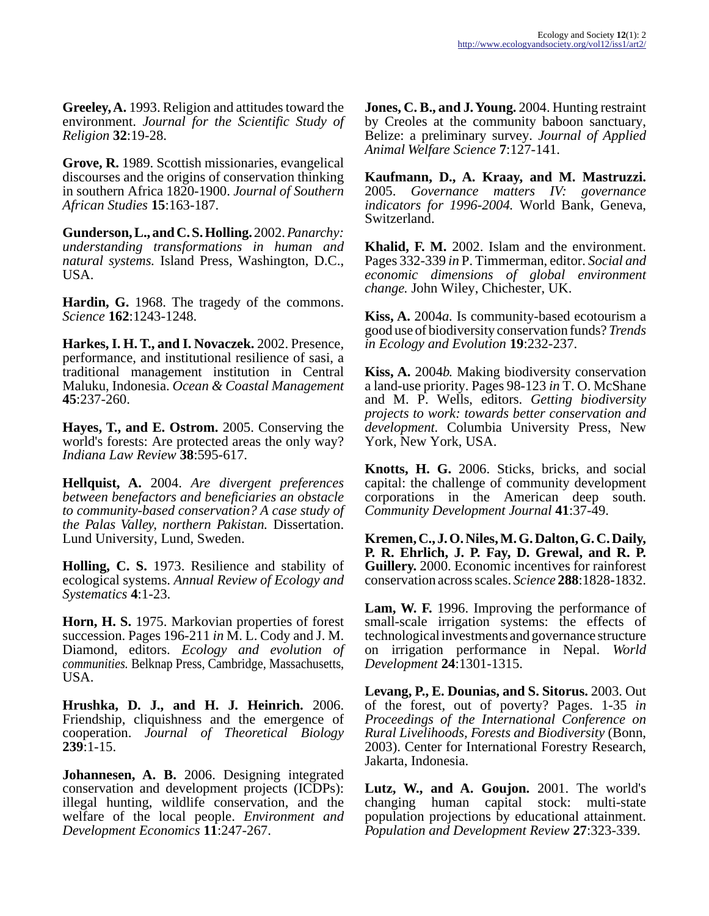**Greeley, A.** 1993. Religion and attitudes toward the environment. *Journal for the Scientific Study of Religion* **32**:19-28.

**Grove, R.** 1989. Scottish missionaries, evangelical discourses and the origins of conservation thinking in southern Africa 1820-1900. *Journal of Southern African Studies* **15**:163-187.

**Gunderson, L., and C. S. Holling.** 2002. *Panarchy: understanding transformations in human and natural systems.* Island Press, Washington, D.C., USA.

**Hardin, G.** 1968. The tragedy of the commons. *Science* **162**:1243-1248.

**Harkes, I. H. T., and I. Novaczek.** 2002. Presence, performance, and institutional resilience of sasi, a traditional management institution in Central Maluku, Indonesia. *Ocean & Coastal Management* **45**:237-260.

**Hayes, T., and E. Ostrom.** 2005. Conserving the world's forests: Are protected areas the only way? *Indiana Law Review* **38**:595-617.

**Hellquist, A.** 2004. *Are divergent preferences between benefactors and beneficiaries an obstacle to community-based conservation? A case study of the Palas Valley, northern Pakistan.* Dissertation. Lund University, Lund, Sweden.

**Holling, C. S.** 1973. Resilience and stability of ecological systems. *Annual Review of Ecology and Systematics* **4**:1-23.

**Horn, H. S.** 1975. Markovian properties of forest succession. Pages 196-211 *in* M. L. Cody and J. M. Diamond, editors. *Ecology and evolution of communities.* Belknap Press, Cambridge, Massachusetts, USA.

**Hrushka, D. J., and H. J. Heinrich.** 2006. Friendship, cliquishness and the emergence of cooperation. *Journal of Theoretical Biology* **239**:1-15.

**Johannesen, A. B.** 2006. Designing integrated conservation and development projects (ICDPs): illegal hunting, wildlife conservation, and the welfare of the local people. *Environment and Development Economics* **11**:247-267.

**Jones, C. B., and J. Young.** 2004. Hunting restraint by Creoles at the community baboon sanctuary, Belize: a preliminary survey. *Journal of Applied Animal Welfare Science* **7**:127-141.

**Kaufmann, D., A. Kraay, and M. Mastruzzi.** 2005. *Governance matters IV: governance indicators for 1996-2004.* World Bank, Geneva, Switzerland.

**Khalid, F. M.** 2002. Islam and the environment. Pages 332-339 *in* P. Timmerman, editor. *Social and economic dimensions of global environment change.* John Wiley, Chichester, UK.

**Kiss, A.** 2004*a.* Is community-based ecotourism a good use of biodiversity conservation funds? *Trends in Ecology and Evolution* **19**:232-237.

**Kiss, A.** 2004*b.* Making biodiversity conservation a land-use priority. Pages 98-123 *in* T. O. McShane and M. P. Wells, editors. *Getting biodiversity projects to work: towards better conservation and development.* Columbia University Press, New York, New York, USA.

**Knotts, H. G.** 2006. Sticks, bricks, and social capital: the challenge of community development corporations in the American deep south. *Community Development Journal* **41**:37-49.

**Kremen, C., J. O. Niles, M. G. Dalton, G. C. Daily, P. R. Ehrlich, J. P. Fay, D. Grewal, and R. P. Guillery.** 2000. Economic incentives for rainforest conservation across scales. *Science* **288**:1828-1832.

**Lam, W. F.** 1996. Improving the performance of small-scale irrigation systems: the effects of technological investments and governance structure on irrigation performance in Nepal. *World Development* **24**:1301-1315.

**Levang, P., E. Dounias, and S. Sitorus.** 2003. Out of the forest, out of poverty? Pages. 1-35 *in Proceedings of the International Conference on Rural Livelihoods, Forests and Biodiversity* (Bonn, 2003). Center for International Forestry Research, Jakarta, Indonesia.

**Lutz, W., and A. Goujon.** 2001. The world's changing human capital stock: multi-state population projections by educational attainment. *Population and Development Review* **27**:323-339.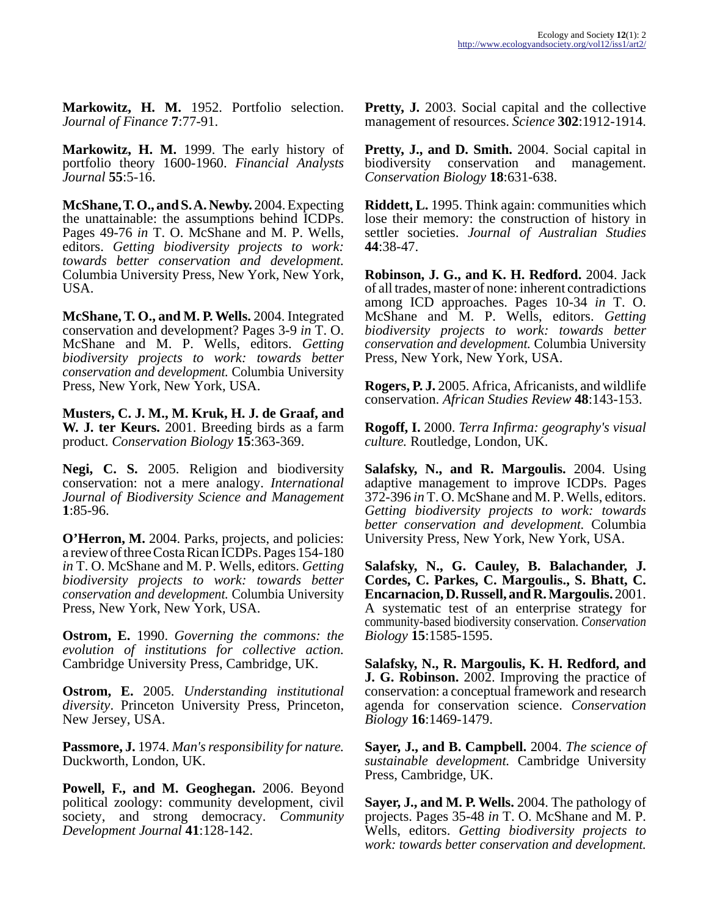**Markowitz, H. M.** 1952. Portfolio selection. *Journal of Finance* **7**:77-91.

**Markowitz, H. M.** 1999. The early history of portfolio theory 1600-1960. *Financial Analysts Journal* **55**:5-16.

**McShane, T. O., and S. A. Newby.** 2004. Expecting the unattainable: the assumptions behind ICDPs. Pages 49-76 *in* T. O. McShane and M. P. Wells, editors. *Getting biodiversity projects to work: towards better conservation and development.* Columbia University Press, New York, New York, USA.

**McShane, T. O., and M. P. Wells.** 2004. Integrated conservation and development? Pages 3-9 *in* T. O. McShane and M. P. Wells, editors. *Getting biodiversity projects to work: towards better conservation and development.* Columbia University Press, New York, New York, USA.

**Musters, C. J. M., M. Kruk, H. J. de Graaf, and W. J. ter Keurs.** 2001. Breeding birds as a farm product. *Conservation Biology* **15**:363-369.

**Negi, C. S.** 2005. Religion and biodiversity conservation: not a mere analogy. *International Journal of Biodiversity Science and Management* **1**:85-96.

**O'Herron, M.** 2004. Parks, projects, and policies: a review of three Costa Rican ICDPs. Pages 154-180 *in* T. O. McShane and M. P. Wells, editors. *Getting biodiversity projects to work: towards better conservation and development.* Columbia University Press, New York, New York, USA.

**Ostrom, E.** 1990. *Governing the commons: the evolution of institutions for collective action.* Cambridge University Press, Cambridge, UK.

**Ostrom, E.** 2005. *Understanding institutional diversity*. Princeton University Press, Princeton, New Jersey, USA.

**Passmore, J.** 1974. *Man's responsibility for nature.* Duckworth, London, UK.

**Powell, F., and M. Geoghegan.** 2006. Beyond political zoology: community development, civil society, and strong democracy. *Community Development Journal* **41**:128-142.

**Pretty, J.** 2003. Social capital and the collective management of resources. *Science* **302**:1912-1914.

**Pretty, J., and D. Smith.** 2004. Social capital in biodiversity conservation and management. *Conservation Biology* **18**:631-638.

**Riddett, L.** 1995. Think again: communities which lose their memory: the construction of history in settler societies. *Journal of Australian Studies* **44**:38-47.

**Robinson, J. G., and K. H. Redford.** 2004. Jack of all trades, master of none: inherent contradictions among ICD approaches. Pages 10-34 *in* T. O. McShane and M. P. Wells, editors. *Getting biodiversity projects to work: towards better conservation and development.* Columbia University Press, New York, New York, USA.

**Rogers, P. J.** 2005. Africa, Africanists, and wildlife conservation. *African Studies Review* **48**:143-153.

**Rogoff, I.** 2000. *Terra Infirma: geography's visual culture.* Routledge, London, UK.

**Salafsky, N., and R. Margoulis.** 2004. Using adaptive management to improve ICDPs. Pages 372-396 *in* T. O. McShane and M. P. Wells, editors. *Getting biodiversity projects to work: towards better conservation and development.* Columbia University Press, New York, New York, USA.

**Salafsky, N., G. Cauley, B. Balachander, J. Cordes, C. Parkes, C. Margoulis., S. Bhatt, C. Encarnacion, D. Russell, and R. Margoulis.** 2001. A systematic test of an enterprise strategy for community-based biodiversity conservation. *Conservation Biology* **15**:1585-1595.

**Salafsky, N., R. Margoulis, K. H. Redford, and J. G. Robinson.** 2002. Improving the practice of conservation: a conceptual framework and research agenda for conservation science. *Conservation Biology* **16**:1469-1479.

**Sayer, J., and B. Campbell.** 2004. *The science of sustainable development.* Cambridge University Press, Cambridge, UK.

**Sayer, J., and M. P. Wells.** 2004. The pathology of projects. Pages 35-48 *in* T. O. McShane and M. P. Wells, editors. *Getting biodiversity projects to work: towards better conservation and development.*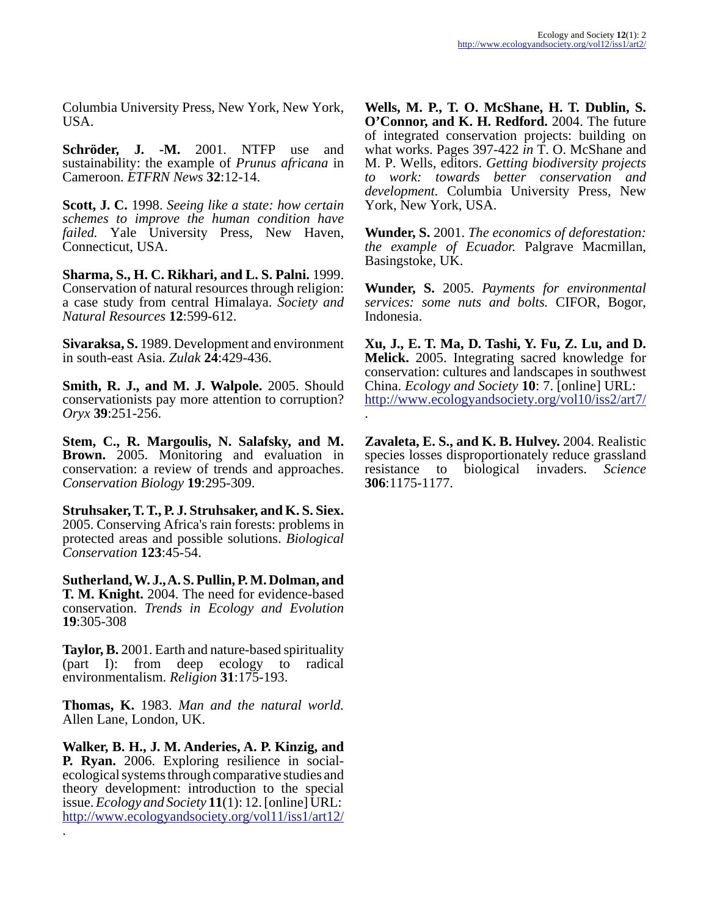Columbia University Press, New York, New York, USA.

**Schröder, J. -M.** 2001. NTFP use and sustainability: the example of *Prunus africana* in Cameroon. *ETFRN News* **32**:12-14.

**Scott, J. C.** 1998. *Seeing like a state: how certain schemes to improve the human condition have failed.* Yale University Press, New Haven, Connecticut, USA.

**Sharma, S., H. C. Rikhari, and L. S. Palni.** 1999. Conservation of natural resources through religion: a case study from central Himalaya. *Society and Natural Resources* **12**:599-612.

**Sivaraksa, S.** 1989. Development and environment in south-east Asia. *Zulak* **24**:429-436.

**Smith, R. J., and M. J. Walpole.** 2005. Should conservationists pay more attention to corruption? *Oryx* **39**:251-256.

**Stem, C., R. Margoulis, N. Salafsky, and M. Brown.** 2005. Monitoring and evaluation in conservation: a review of trends and approaches. *Conservation Biology* **19**:295-309.

**Struhsaker, T. T., P. J. Struhsaker, and K. S. Siex.** 2005. Conserving Africa's rain forests: problems in protected areas and possible solutions. *Biological Conservation* **123**:45-54.

**Sutherland, W. J., A. S. Pullin, P. M. Dolman, and T. M. Knight.** 2004. The need for evidence-based conservation. *Trends in Ecology and Evolution* **19**:305-308

**Taylor, B.** 2001. Earth and nature-based spirituality (part I): from deep ecology to radical environmentalism. *Religion* **31**:175-193.

**Thomas, K.** 1983. *Man and the natural world.* Allen Lane, London, UK.

**Walker, B. H., J. M. Anderies, A. P. Kinzig, and P. Ryan.** 2006. Exploring resilience in socialecological systems through comparative studies and theory development: introduction to the special issue. *Ecology and Society* **11**(1): 12. [online] URL: <http://www.ecologyandsociety.org/vol11/iss1/art12/> .

**Wells, M. P., T. O. McShane, H. T. Dublin, S. O'Connor, and K. H. Redford.** 2004. The future of integrated conservation projects: building on what works. Pages 397-422 *in* T. O. McShane and M. P. Wells, editors. *Getting biodiversity projects to work: towards better conservation and development.* Columbia University Press, New York, New York, USA.

**Wunder, S.** 2001. *The economics of deforestation: the example of Ecuador.* Palgrave Macmillan, Basingstoke, UK.

**Wunder, S.** 2005. *Payments for environmental services: some nuts and bolts.* CIFOR, Bogor, Indonesia.

**Xu, J., E. T. Ma, D. Tashi, Y. Fu, Z. Lu, and D. Melick.** 2005. Integrating sacred knowledge for conservation: cultures and landscapes in southwest China. *Ecology and Society* **10**: 7. [online] URL: <http://www.ecologyandsociety.org/vol10/iss2/art7/> .

**Zavaleta, E. S., and K. B. Hulvey.** 2004. Realistic species losses disproportionately reduce grassland resistance to biological invaders. *Science* **306**:1175-1177.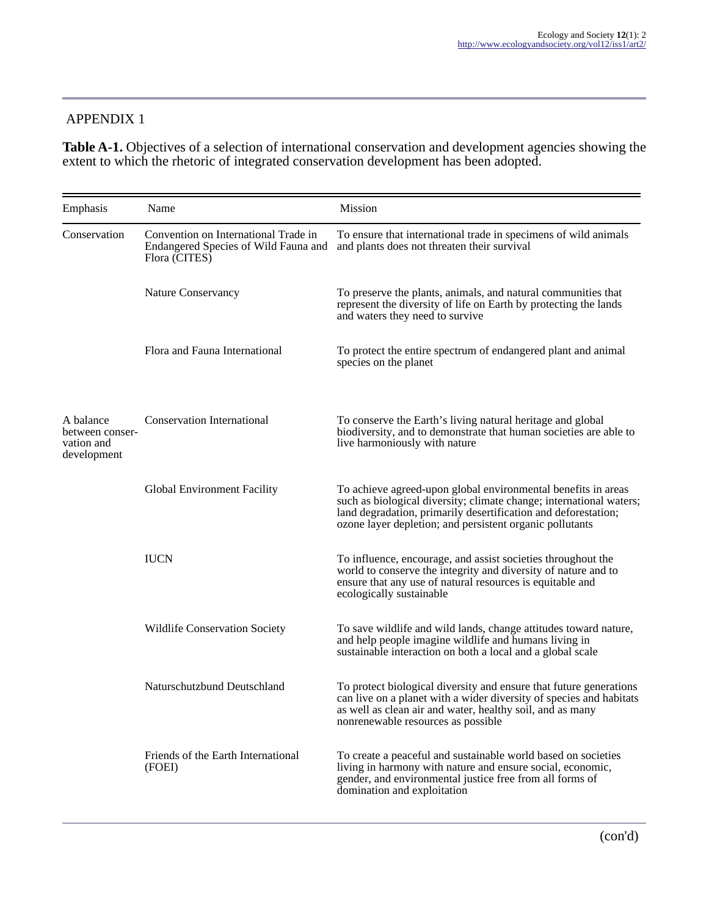### APPENDIX 1

**Table A-1.** Objectives of a selection of international conservation and development agencies showing the extent to which the rhetoric of integrated conservation development has been adopted.

| Emphasis                                                  | Name                                                                                          | <b>Mission</b>                                                                                                                                                                                                                                                     |
|-----------------------------------------------------------|-----------------------------------------------------------------------------------------------|--------------------------------------------------------------------------------------------------------------------------------------------------------------------------------------------------------------------------------------------------------------------|
| Conservation                                              | Convention on International Trade in<br>Endangered Species of Wild Fauna and<br>Flora (CITES) | To ensure that international trade in specimens of wild animals<br>and plants does not threaten their survival                                                                                                                                                     |
|                                                           | Nature Conservancy                                                                            | To preserve the plants, animals, and natural communities that<br>represent the diversity of life on Earth by protecting the lands<br>and waters they need to survive                                                                                               |
|                                                           | Flora and Fauna International                                                                 | To protect the entire spectrum of endangered plant and animal<br>species on the planet                                                                                                                                                                             |
| A balance<br>between conser-<br>vation and<br>development | <b>Conservation International</b>                                                             | To conserve the Earth's living natural heritage and global<br>biodiversity, and to demonstrate that human societies are able to<br>live harmoniously with nature                                                                                                   |
|                                                           | Global Environment Facility                                                                   | To achieve agreed-upon global environmental benefits in areas<br>such as biological diversity; climate change; international waters;<br>land degradation, primarily desertification and deforestation;<br>ozone layer depletion; and persistent organic pollutants |
|                                                           | <b>IUCN</b>                                                                                   | To influence, encourage, and assist societies throughout the<br>world to conserve the integrity and diversity of nature and to<br>ensure that any use of natural resources is equitable and<br>ecologically sustainable                                            |
|                                                           | <b>Wildlife Conservation Society</b>                                                          | To save wildlife and wild lands, change attitudes toward nature,<br>and help people imagine wildlife and humans living in<br>sustainable interaction on both a local and a global scale                                                                            |
|                                                           | Naturschutzbund Deutschland                                                                   | To protect biological diversity and ensure that future generations<br>can live on a planet with a wider diversity of species and habitats<br>as well as clean air and water, healthy soil, and as many<br>nonrenewable resources as possible                       |
|                                                           | Friends of the Earth International<br>(FOEI)                                                  | To create a peaceful and sustainable world based on societies<br>living in harmony with nature and ensure social, economic,<br>gender, and environmental justice free from all forms of<br>domination and exploitation                                             |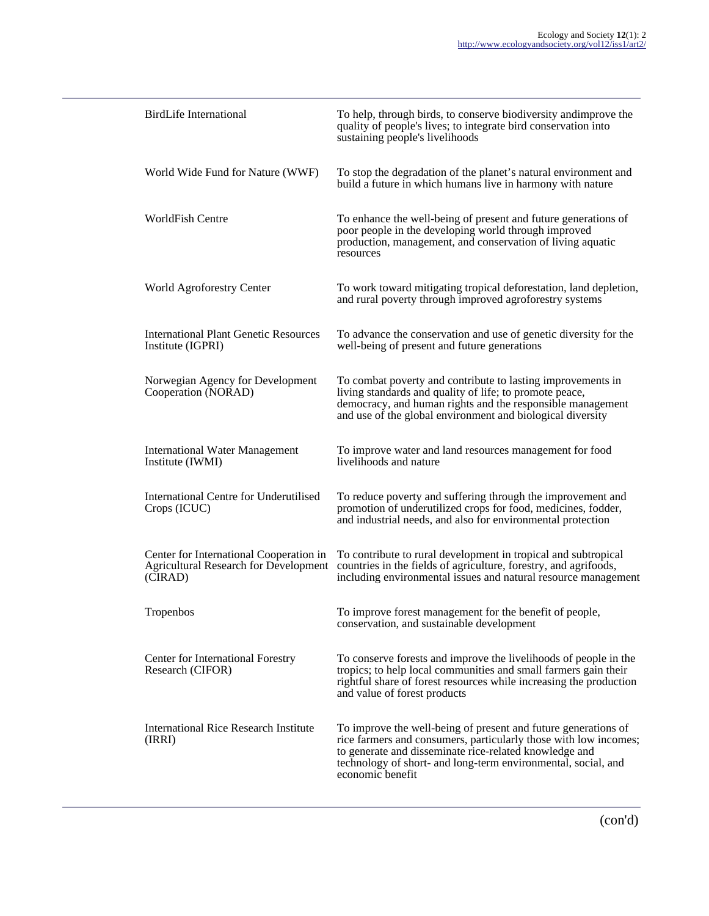| <b>BirdLife International</b>                                                                      | To help, through birds, to conserve biodiversity and improve the<br>quality of people's lives; to integrate bird conservation into<br>sustaining people's livelihoods                                                                                                             |
|----------------------------------------------------------------------------------------------------|-----------------------------------------------------------------------------------------------------------------------------------------------------------------------------------------------------------------------------------------------------------------------------------|
| World Wide Fund for Nature (WWF)                                                                   | To stop the degradation of the planet's natural environment and<br>build a future in which humans live in harmony with nature                                                                                                                                                     |
| <b>WorldFish Centre</b>                                                                            | To enhance the well-being of present and future generations of<br>poor people in the developing world through improved<br>production, management, and conservation of living aquatic<br>resources                                                                                 |
| World Agroforestry Center                                                                          | To work toward mitigating tropical deforestation, land depletion,<br>and rural poverty through improved agroforestry systems                                                                                                                                                      |
| <b>International Plant Genetic Resources</b><br>Institute (IGPRI)                                  | To advance the conservation and use of genetic diversity for the<br>well-being of present and future generations                                                                                                                                                                  |
| Norwegian Agency for Development<br>Cooperation (NORAD)                                            | To combat poverty and contribute to lasting improvements in<br>living standards and quality of life; to promote peace,<br>democracy, and human rights and the responsible management<br>and use of the global environment and biological diversity                                |
| <b>International Water Management</b><br>Institute (IWMI)                                          | To improve water and land resources management for food<br>livelihoods and nature                                                                                                                                                                                                 |
| International Centre for Underutilised<br>Crops (ICUC)                                             | To reduce poverty and suffering through the improvement and<br>promotion of underutilized crops for food, medicines, fodder,<br>and industrial needs, and also for environmental protection                                                                                       |
| Center for International Cooperation in<br><b>Agricultural Research for Development</b><br>(CIRAD) | To contribute to rural development in tropical and subtropical<br>countries in the fields of agriculture, forestry, and agrifoods,<br>including environmental issues and natural resource management                                                                              |
| Tropenbos                                                                                          | To improve forest management for the benefit of people,<br>conservation, and sustainable development                                                                                                                                                                              |
| Center for International Forestry<br>Research (CIFOR)                                              | To conserve forests and improve the livelihoods of people in the<br>tropics; to help local communities and small farmers gain their<br>rightful share of forest resources while increasing the production<br>and value of forest products                                         |
| <b>International Rice Research Institute</b><br>(IRRI)                                             | To improve the well-being of present and future generations of<br>rice farmers and consumers, particularly those with low incomes;<br>to generate and disseminate rice-related knowledge and<br>technology of short- and long-term environmental, social, and<br>economic benefit |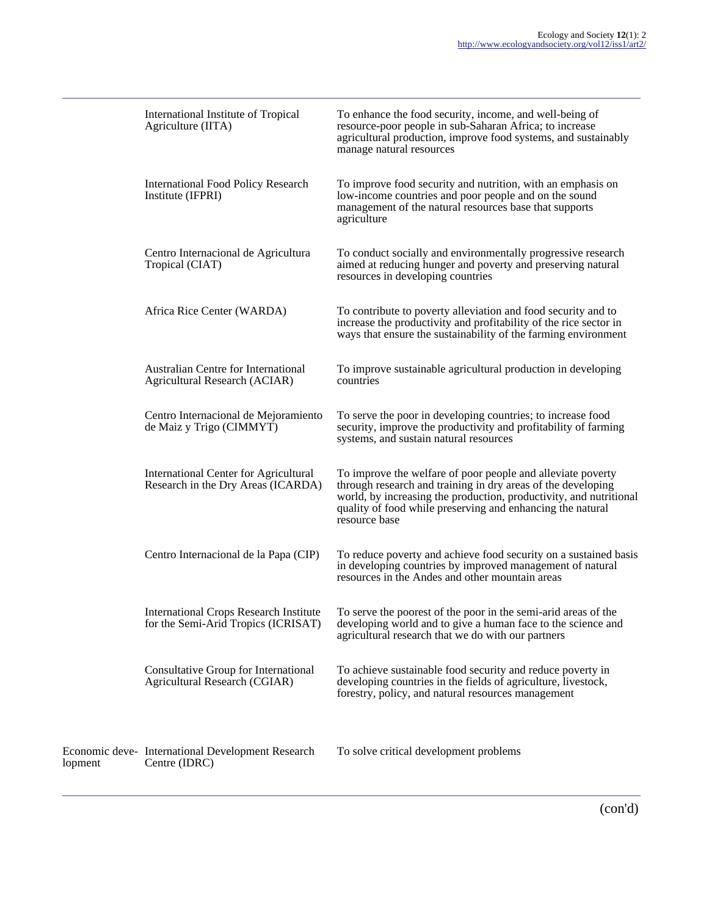|         | International Institute of Tropical<br>Agriculture (IITA)                            | To enhance the food security, income, and well-being of<br>resource-poor people in sub-Saharan Africa; to increase<br>agricultural production, improve food systems, and sustainably<br>manage natural resources                                                                 |
|---------|--------------------------------------------------------------------------------------|----------------------------------------------------------------------------------------------------------------------------------------------------------------------------------------------------------------------------------------------------------------------------------|
|         | <b>International Food Policy Research</b><br>Institute (IFPRI)                       | To improve food security and nutrition, with an emphasis on<br>low-income countries and poor people and on the sound<br>management of the natural resources base that supports<br>agriculture                                                                                    |
|         | Centro Internacional de Agricultura<br>Tropical (CIAT)                               | To conduct socially and environmentally progressive research<br>aimed at reducing hunger and poverty and preserving natural<br>resources in developing countries                                                                                                                 |
|         | Africa Rice Center (WARDA)                                                           | To contribute to poverty alleviation and food security and to<br>increase the productivity and profitability of the rice sector in<br>ways that ensure the sustainability of the farming environment                                                                             |
|         | Australian Centre for International<br>Agricultural Research (ACIAR)                 | To improve sustainable agricultural production in developing<br>countries                                                                                                                                                                                                        |
|         | Centro Internacional de Mejoramiento<br>de Maiz y Trigo (CIMMYT)                     | To serve the poor in developing countries; to increase food<br>security, improve the productivity and profitability of farming<br>systems, and sustain natural resources                                                                                                         |
|         | International Center for Agricultural<br>Research in the Dry Areas (ICARDA)          | To improve the welfare of poor people and alleviate poverty<br>through research and training in dry areas of the developing<br>world, by increasing the production, productivity, and nutritional<br>quality of food while preserving and enhancing the natural<br>resource base |
|         | Centro Internacional de la Papa (CIP)                                                | To reduce poverty and achieve food security on a sustained basis<br>in developing countries by improved management of natural<br>resources in the Andes and other mountain areas                                                                                                 |
|         | <b>International Crops Research Institute</b><br>for the Semi-Arid Tropics (ICRISAT) | To serve the poorest of the poor in the semi-arid areas of the<br>developing world and to give a human face to the science and<br>agricultural research that we do with our partners                                                                                             |
|         | Consultative Group for International<br>Agricultural Research (CGIAR)                | To achieve sustainable food security and reduce poverty in<br>developing countries in the fields of agriculture, livestock,<br>forestry, policy, and natural resources management                                                                                                |
| lopment | Economic deve- International Development Research<br>Centre (IDRC)                   | To solve critical development problems                                                                                                                                                                                                                                           |